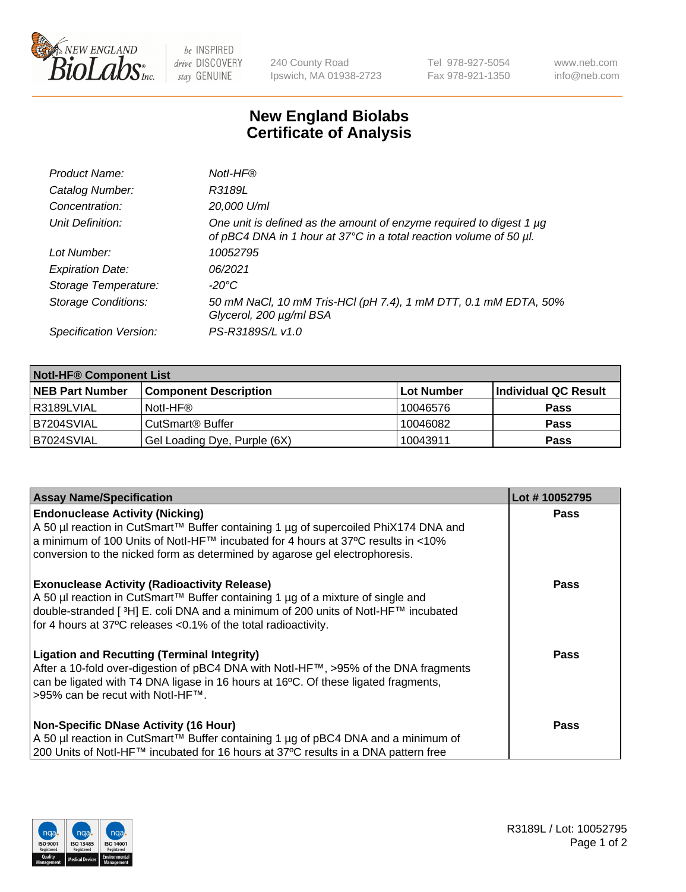

 $be$  INSPIRED drive DISCOVERY stay GENUINE

240 County Road Ipswich, MA 01938-2723 Tel 978-927-5054 Fax 978-921-1350 www.neb.com info@neb.com

## **New England Biolabs Certificate of Analysis**

| Product Name:              | Notl-HF®                                                                                                                                  |
|----------------------------|-------------------------------------------------------------------------------------------------------------------------------------------|
| Catalog Number:            | R3189L                                                                                                                                    |
| Concentration:             | 20,000 U/ml                                                                                                                               |
| Unit Definition:           | One unit is defined as the amount of enzyme required to digest 1 µg<br>of pBC4 DNA in 1 hour at 37°C in a total reaction volume of 50 µl. |
| Lot Number:                | 10052795                                                                                                                                  |
| <b>Expiration Date:</b>    | 06/2021                                                                                                                                   |
| Storage Temperature:       | -20°C                                                                                                                                     |
| <b>Storage Conditions:</b> | 50 mM NaCl, 10 mM Tris-HCl (pH 7.4), 1 mM DTT, 0.1 mM EDTA, 50%<br>Glycerol, 200 µg/ml BSA                                                |
| Specification Version:     | PS-R3189S/L v1.0                                                                                                                          |

| <b>Notl-HF® Component List</b> |                              |            |                      |  |  |
|--------------------------------|------------------------------|------------|----------------------|--|--|
| <b>NEB Part Number</b>         | <b>Component Description</b> | Lot Number | Individual QC Result |  |  |
| l R3189LVIAL                   | Notl-HF®                     | 10046576   | <b>Pass</b>          |  |  |
| B7204SVIAL                     | CutSmart <sup>®</sup> Buffer | 10046082   | <b>Pass</b>          |  |  |
| B7024SVIAL                     | Gel Loading Dye, Purple (6X) | 10043911   | <b>Pass</b>          |  |  |

| <b>Assay Name/Specification</b>                                                                                                                                                                                                                                                                 | Lot #10052795 |
|-------------------------------------------------------------------------------------------------------------------------------------------------------------------------------------------------------------------------------------------------------------------------------------------------|---------------|
| <b>Endonuclease Activity (Nicking)</b><br>A 50 µl reaction in CutSmart™ Buffer containing 1 µg of supercoiled PhiX174 DNA and                                                                                                                                                                   | <b>Pass</b>   |
| a minimum of 100 Units of NotI-HF™ incubated for 4 hours at 37°C results in <10%<br>conversion to the nicked form as determined by agarose gel electrophoresis.                                                                                                                                 |               |
| <b>Exonuclease Activity (Radioactivity Release)</b><br>  A 50 µl reaction in CutSmart™ Buffer containing 1 µg of a mixture of single and<br>double-stranded [3H] E. coli DNA and a minimum of 200 units of Notl-HF™ incubated<br>for 4 hours at 37°C releases <0.1% of the total radioactivity. | <b>Pass</b>   |
| <b>Ligation and Recutting (Terminal Integrity)</b><br>After a 10-fold over-digestion of pBC4 DNA with Notl-HF™, >95% of the DNA fragments<br>can be ligated with T4 DNA ligase in 16 hours at 16 $\degree$ C. Of these ligated fragments,<br>1>95% can be recut with NotI-HF™.                  | <b>Pass</b>   |
| Non-Specific DNase Activity (16 Hour)<br>A 50 µl reaction in CutSmart™ Buffer containing 1 µg of pBC4 DNA and a minimum of<br>200 Units of NotI-HF™ incubated for 16 hours at 37°C results in a DNA pattern free                                                                                | Pass          |